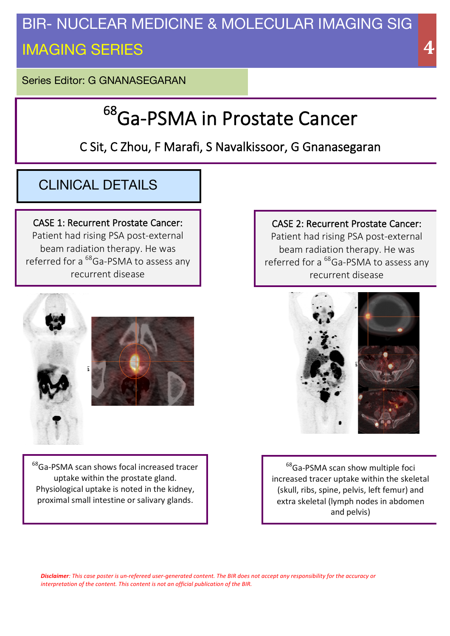# BIR- NUCLEAR MEDICINE & MOLECULAR IMAGING SIG IMAGING SERIES

Series Editor: G GNANASEGARAN

# <sup>68</sup>Ga-PSMA in Prostate Cancer

## C Sit, C Zhou, F Marafi, S Navalkissoor, G Gnanasegaran

## CLINICAL DETAILS

CASE 1: Recurrent Prostate Cancer: Patient had rising PSA post-external beam radiation therapy. He was referred for a <sup>68</sup>Ga-PSMA to assess any recurrent disease





 $^{68}$ Ga-PSMA scan shows focal increased tracer uptake within the prostate gland. Physiological uptake is noted in the kidney, proximal small intestine or salivary glands.

CASE 2: Recurrent Prostate Cancer: Patient had rising PSA post-external beam radiation therapy. He was referred for a  $^{68}$ Ga-PSMA to assess any recurrent disease



<sup>68</sup>Ga-PSMA scan show multiple foci increased tracer uptake within the skeletal (skull, ribs, spine, pelvis, left femur) and extra skeletal (lymph nodes in abdomen and pelvis)

**Disclaimer**: This case poster is un-refereed user-generated content. The BIR does not accept any responsibility for the accuracy or *interpretation of the content. This content is not an official publication of the BIR.*